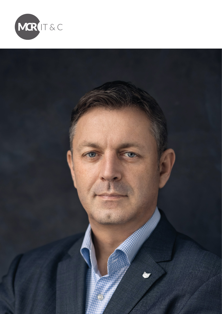

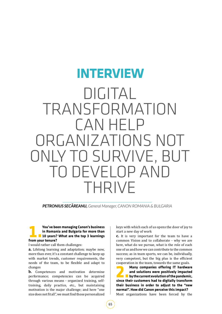# DIGITAL TRANSFORMATION CAN HELP ORGANIZATIONS NOT ONLY TO SURVIVE, BUT DEVELOP AND THRIVE **INTERVIEW**

*PETRONIUS SECAREANU, General Manager, CANON ROMANIA & BULGARIA*

## **1.You've been managing Canon's business<br>in Romania and Bulgaria for more than<br>from your tenure?**<br>**1.Yourge** business from your tenure? **in Romania and Bulgaria for more than 10 years? What are the top 3 learnings from your tenure?**

I would rather call them challenges:

a. Lifelong learning and adaptation; maybe now, more than ever, it's a constant challenge to keep up with market trends, customer requirements, the needs of the team, to be flexible and adapt to changes

**b.** Competences and motivation determine performance; competencies can be acquired through various means - organized training, selftraining, daily practice, etc., but maintaining motivation is the major challenge; and here "one size does not fit all", we must find those personalized keys with which each of us opens the door of joy to start a new day of work

c. It is very important for the team to have a common Vision and to collaborate - why we are here, what do we pursue, what is the role of each one of us and how we can contribute to the common success; as in team sports, we can be, individually, very competent, but the big plus is the efficient cooperation in the team, towards the same goals.

**2.Many companies offering IT hardware and solutions were positively impacted by the current evolution of the pandemic, since their customers had to digitally transform their business in order to adjust to the "new normal". How did Canon perceive this impact?** Most organizations have been forced by the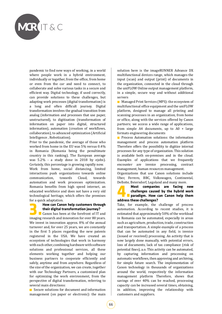

pandemic to find new ways of working, in a world where people work in a hybrid environment, individually or together, from the office, from home or even from the car and need to connect, to collaborate and solve various tasks in a secure and efficient way. Digital technology, if used correctly, can provide solutions to these challenges, but adapting work processes (digital transformation) is a long and often difficult journey. Digital transformation involves the gradual transition from analog (information and processes that use paper, unstructured), to digitization (transformation of information on paper into digital, structured information), automation (creation of workflows, collaboration), to advanced optimization (Artificial Intelligence , Robotization).

Prior to the pandemic, the average of those who worked from home in the EU was 5% versus 0.4% in Romania (Romania being the penultimate country in this ranking). The European average was 5.2% - a study done in 2018 by ejobs). Certainly, this percentage is growing rapidly now. Work from home, social distancing, limited interactions push organizations towards online<br>communication, towards Cloud, towards communication, automation and work processes optimization. Romania benefits from high speed internet, an educated workforce and does not have a very old technological heritage, which offers the premises for a quick adaptation.

## **3.How can Canon help customers through their digital transformation journey?**<br> **Canon has been at the forefront of IT and imaging research and innovation for over 80 years their digital transformation journey?** imaging research and innovation for over 80 years. We invest in innovation approx. 8% of the annual turnover and, for over 25 years, we are constantly in the first 5 places regarding the new patents registered in the USA. We have created an ecosystem of technologies that work in harmony with each other, combining hardware with software solutions and professional services, all these elements working together and helping our business partners to cooperate efficiently and safely, anytime and from anywhere. Regardless of the size of the organization, we can create, together with our Technology Partners, a customized plan for optimizing the work environment, from the perspective of digital transformation, referring to several main directions:

Secure solutions for document and information management (on paper or electronic): the main solution here is the imageRUNNER Advance DX multifunctional devices range, which manages the input (scan) and output (print) of documents in the organization, connected in the cloud through the uniFLOW Online output management platform, in a simple, secure way and without additional servers

**Managed Print Services (MPS): the ecosystem of** multifunctional office equipment and the uniFLOW platform, designed to manage all printing and scanning processes in an organization, from home or office, along with the services offered by Canon partners; we access a wide range of applications, from simple A4 documents, up to  $A0 + \text{large}$ formats engineering documents

**Process Automation solutions: the information** management and process automation platform Therefore offers the possibility to digitize internal processes for any type of organization. This solution is available both on-premises and in the cloud. Examples of applications that we frequently encounter are invoice processing, contract management, human resources management.

Organizations that use Canon solutions include Uber, Ferrero, BBC, Volkswagen, Continental, Delloite, Beiersdorf, Legoland and many more.

**4.Most companies are facing new challenges caused by the hybrid work paradigm. How can Canon help them address these challenges?**

Take, for example, the challenge of process automation. According to recent studies, it is estimated that approximately 50% of the workload in Romania can be automated, especially in areas such as agriculture, production, trade, construction and transportation. A simple example of a process that can be automated in any field, is invoice (issued or received) processing. An activity that is now largely done manually, with potential errors, loss of documents, lack of tax compliance (risk of potential fines), a.o. This activity can be automated, by capturing information and processing on automatic workflows, then approving and archiving, for simple future search. The implementation of Canon technology in thousands of organizations around the world, respectively the information management platform Therefore, shows that savings of over 40% can be reached, processing capacity can be increased several times, obtaining, in addition, improving the relationship with customers and suppliers.